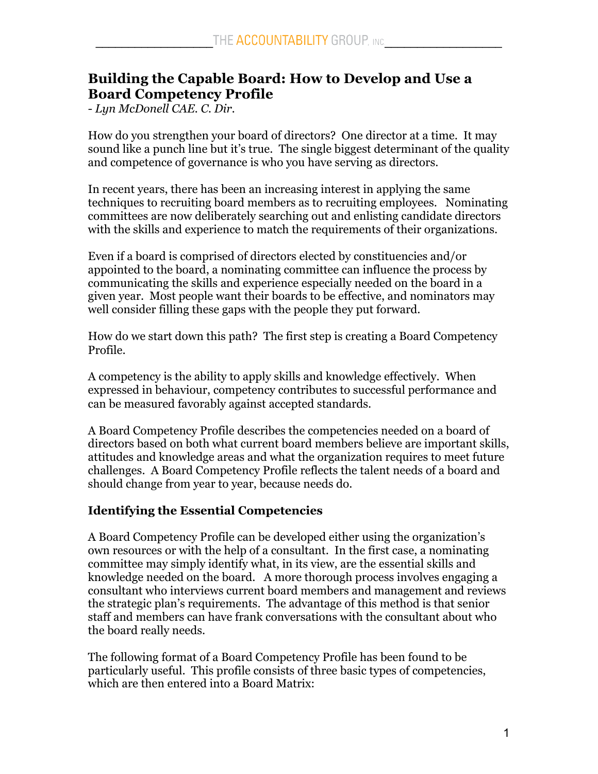# **Building the Capable Board: How to Develop and Use a Board Competency Profile**

*- Lyn McDonell CAE. C. Dir.*

How do you strengthen your board of directors? One director at a time. It may sound like a punch line but it's true. The single biggest determinant of the quality and competence of governance is who you have serving as directors.

In recent years, there has been an increasing interest in applying the same techniques to recruiting board members as to recruiting employees. Nominating committees are now deliberately searching out and enlisting candidate directors with the skills and experience to match the requirements of their organizations.

Even if a board is comprised of directors elected by constituencies and/or appointed to the board, a nominating committee can influence the process by communicating the skills and experience especially needed on the board in a given year. Most people want their boards to be effective, and nominators may well consider filling these gaps with the people they put forward.

How do we start down this path? The first step is creating a Board Competency Profile.

A competency is the ability to apply skills and knowledge effectively. When expressed in behaviour, competency contributes to successful performance and can be measured favorably against accepted standards.

A Board Competency Profile describes the competencies needed on a board of directors based on both what current board members believe are important skills, attitudes and knowledge areas and what the organization requires to meet future challenges. A Board Competency Profile reflects the talent needs of a board and should change from year to year, because needs do.

# **Identifying the Essential Competencies**

A Board Competency Profile can be developed either using the organization's own resources or with the help of a consultant. In the first case, a nominating committee may simply identify what, in its view, are the essential skills and knowledge needed on the board. A more thorough process involves engaging a consultant who interviews current board members and management and reviews the strategic plan's requirements. The advantage of this method is that senior staff and members can have frank conversations with the consultant about who the board really needs.

The following format of a Board Competency Profile has been found to be particularly useful. This profile consists of three basic types of competencies, which are then entered into a Board Matrix: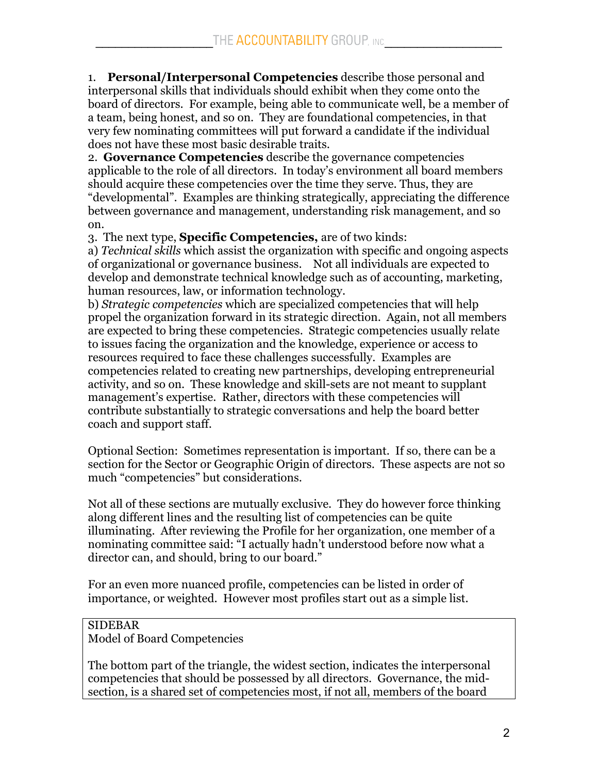1. **Personal/Interpersonal Competencies** describe those personal and interpersonal skills that individuals should exhibit when they come onto the board of directors. For example, being able to communicate well, be a member of a team, being honest, and so on. They are foundational competencies, in that very few nominating committees will put forward a candidate if the individual does not have these most basic desirable traits.

2. **Governance Competencies** describe the governance competencies applicable to the role of all directors. In today's environment all board members should acquire these competencies over the time they serve. Thus, they are "developmental". Examples are thinking strategically, appreciating the difference between governance and management, understanding risk management, and so on.

3. The next type, **Specific Competencies,** are of two kinds:

a) *Technical skills* which assist the organization with specific and ongoing aspects of organizational or governance business. Not all individuals are expected to develop and demonstrate technical knowledge such as of accounting, marketing, human resources, law, or information technology.

b) *Strategic competencies* which are specialized competencies that will help propel the organization forward in its strategic direction. Again, not all members are expected to bring these competencies. Strategic competencies usually relate to issues facing the organization and the knowledge, experience or access to resources required to face these challenges successfully. Examples are competencies related to creating new partnerships, developing entrepreneurial activity, and so on. These knowledge and skill-sets are not meant to supplant management's expertise. Rather, directors with these competencies will contribute substantially to strategic conversations and help the board better coach and support staff.

Optional Section: Sometimes representation is important. If so, there can be a section for the Sector or Geographic Origin of directors. These aspects are not so much "competencies" but considerations.

Not all of these sections are mutually exclusive. They do however force thinking along different lines and the resulting list of competencies can be quite illuminating. After reviewing the Profile for her organization, one member of a nominating committee said: "I actually hadn't understood before now what a director can, and should, bring to our board."

For an even more nuanced profile, competencies can be listed in order of importance, or weighted. However most profiles start out as a simple list.

# SIDEBAR

Model of Board Competencies

The bottom part of the triangle, the widest section, indicates the interpersonal competencies that should be possessed by all directors. Governance, the midsection, is a shared set of competencies most, if not all, members of the board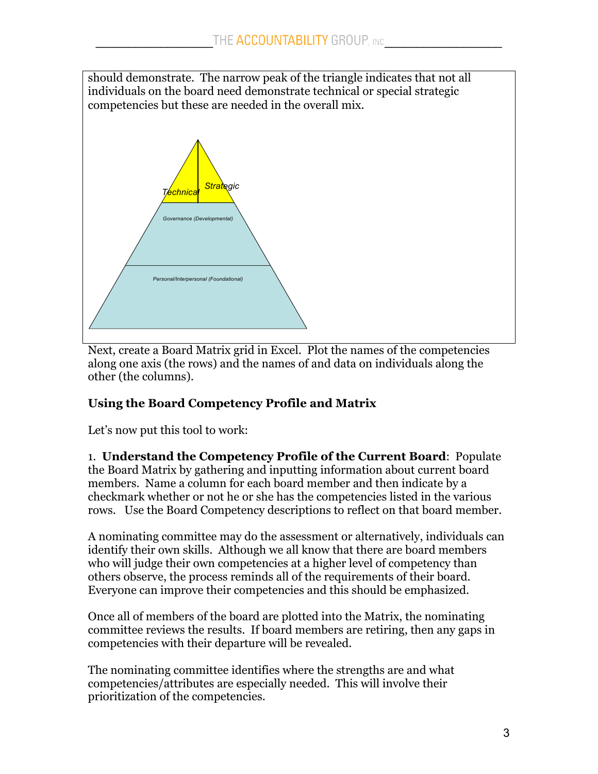should demonstrate. The narrow peak of the triangle indicates that not all individuals on the board need demonstrate technical or special strategic competencies but these are needed in the overall mix.



Next, create a Board Matrix grid in Excel. Plot the names of the competencies along one axis (the rows) and the names of and data on individuals along the other (the columns).

# **Using the Board Competency Profile and Matrix**

Let's now put this tool to work:

1. **Understand the Competency Profile of the Current Board**: Populate the Board Matrix by gathering and inputting information about current board members. Name a column for each board member and then indicate by a checkmark whether or not he or she has the competencies listed in the various rows. Use the Board Competency descriptions to reflect on that board member.

A nominating committee may do the assessment or alternatively, individuals can identify their own skills. Although we all know that there are board members who will judge their own competencies at a higher level of competency than others observe, the process reminds all of the requirements of their board. Everyone can improve their competencies and this should be emphasized.

Once all of members of the board are plotted into the Matrix, the nominating committee reviews the results. If board members are retiring, then any gaps in competencies with their departure will be revealed.

The nominating committee identifies where the strengths are and what competencies/attributes are especially needed. This will involve their prioritization of the competencies.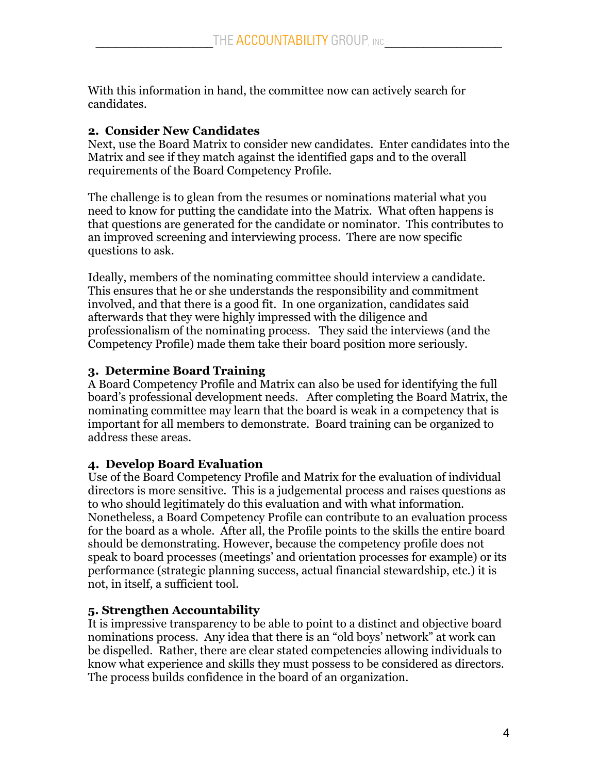With this information in hand, the committee now can actively search for candidates.

#### **2. Consider New Candidates**

Next, use the Board Matrix to consider new candidates. Enter candidates into the Matrix and see if they match against the identified gaps and to the overall requirements of the Board Competency Profile.

The challenge is to glean from the resumes or nominations material what you need to know for putting the candidate into the Matrix. What often happens is that questions are generated for the candidate or nominator. This contributes to an improved screening and interviewing process. There are now specific questions to ask.

Ideally, members of the nominating committee should interview a candidate. This ensures that he or she understands the responsibility and commitment involved, and that there is a good fit. In one organization, candidates said afterwards that they were highly impressed with the diligence and professionalism of the nominating process. They said the interviews (and the Competency Profile) made them take their board position more seriously.

#### **3. Determine Board Training**

A Board Competency Profile and Matrix can also be used for identifying the full board's professional development needs. After completing the Board Matrix, the nominating committee may learn that the board is weak in a competency that is important for all members to demonstrate. Board training can be organized to address these areas.

# **4. Develop Board Evaluation**

Use of the Board Competency Profile and Matrix for the evaluation of individual directors is more sensitive. This is a judgemental process and raises questions as to who should legitimately do this evaluation and with what information. Nonetheless, a Board Competency Profile can contribute to an evaluation process for the board as a whole. After all, the Profile points to the skills the entire board should be demonstrating. However, because the competency profile does not speak to board processes (meetings' and orientation processes for example) or its performance (strategic planning success, actual financial stewardship, etc.) it is not, in itself, a sufficient tool.

# **5. Strengthen Accountability**

It is impressive transparency to be able to point to a distinct and objective board nominations process. Any idea that there is an "old boys' network" at work can be dispelled. Rather, there are clear stated competencies allowing individuals to know what experience and skills they must possess to be considered as directors. The process builds confidence in the board of an organization.